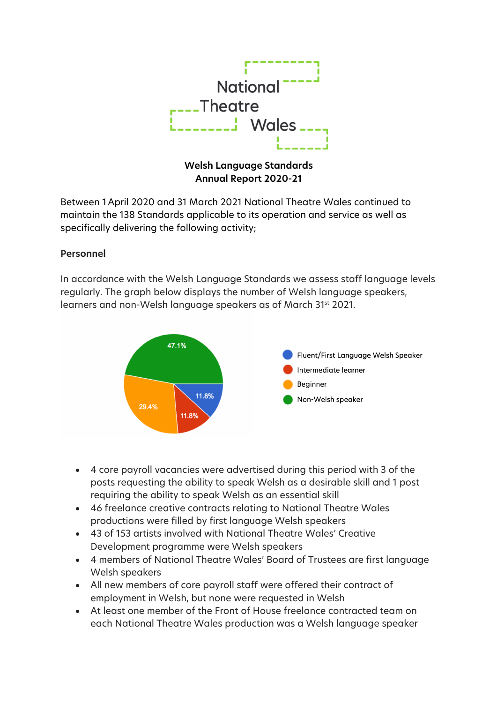

# **Welsh Language Standards Annual Report 2020-21**

Between 1 April 2020 and 31 March 2021 National Theatre Wales continued to maintain the 138 Standards applicable to its operation and service as well as specifically delivering the following activity;

### **Personnel**

In accordance with the Welsh Language Standards we assess staff language levels regularly. The graph below displays the number of Welsh language speakers, learners and non-Welsh language speakers as of March 31st 2021.



- 4 core payroll vacancies were advertised during this period with 3 of the posts requesting the ability to speak Welsh as a desirable skill and 1 post requiring the ability to speak Welsh as an essential skill
- 46 freelance creative contracts relating to National Theatre Wales productions were filled by first language Welsh speakers
- 43 of 153 artists involved with National Theatre Wales' Creative Development programme were Welsh speakers
- 4 members of National Theatre Wales' Board of Trustees are first language Welsh speakers
- All new members of core payroll staff were offered their contract of employment in Welsh, but none were requested in Welsh
- At least one member of the Front of House freelance contracted team on each National Theatre Wales production was a Welsh language speaker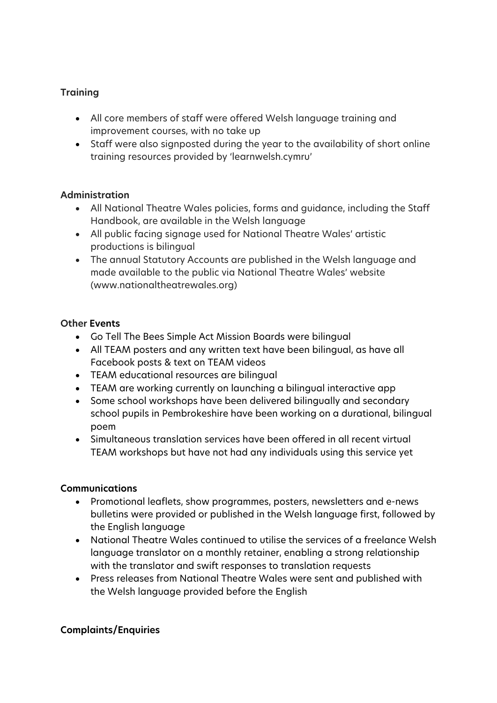# **Training**

- All core members of staff were offered Welsh language training and improvement courses, with no take up
- Staff were also signposted during the year to the availability of short online training resources provided by 'learnwelsh.cymru'

## **Administration**

- All National Theatre Wales policies, forms and guidance, including the Staff Handbook, are available in the Welsh language
- All public facing signage used for National Theatre Wales' artistic productions is bilingual
- The annual Statutory Accounts are published in the Welsh language and made available to the public via National Theatre Wales' website (www.nationaltheatrewales.org)

## **Other Events**

- Go Tell The Bees Simple Act Mission Boards were bilingual
- All TEAM posters and any written text have been bilingual, as have all Facebook posts & text on TEAM videos
- TEAM educational resources are bilingual
- TEAM are working currently on launching a bilingual interactive app
- Some school workshops have been delivered bilingually and secondary school pupils in Pembrokeshire have been working on a durational, bilingual poem
- Simultaneous translation services have been offered in all recent virtual TEAM workshops but have not had any individuals using this service yet

## **Communications**

- Promotional leaflets, show programmes, posters, newsletters and e-news bulletins were provided or published in the Welsh language first, followed by the English language
- National Theatre Wales continued to utilise the services of a freelance Welsh language translator on a monthly retainer, enabling a strong relationship with the translator and swift responses to translation requests
- Press releases from National Theatre Wales were sent and published with the Welsh language provided before the English

## **Complaints/Enquiries**